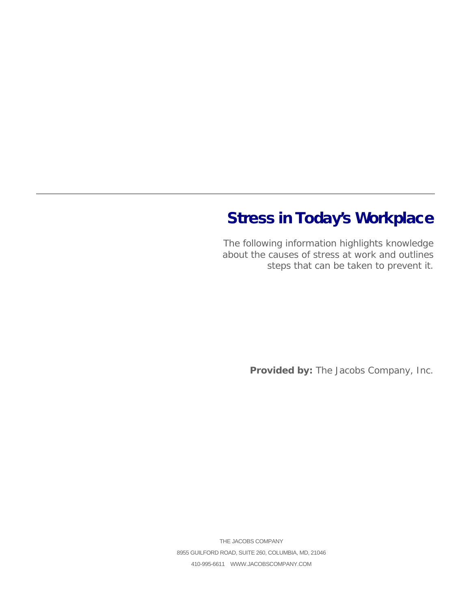# Stress in Today's Workplace

The following information highlights knowledge about the causes of stress at work and outlines steps that can be taken to prevent it.

**Provided by:** The Jacobs Company, Inc.

THE JACOBS COMPANY 8955 GUILFORD ROAD, SUITE 260, COLUMBIA, MD, 21046 410-995-6611 WWW.JACOBSCOMPANY.COM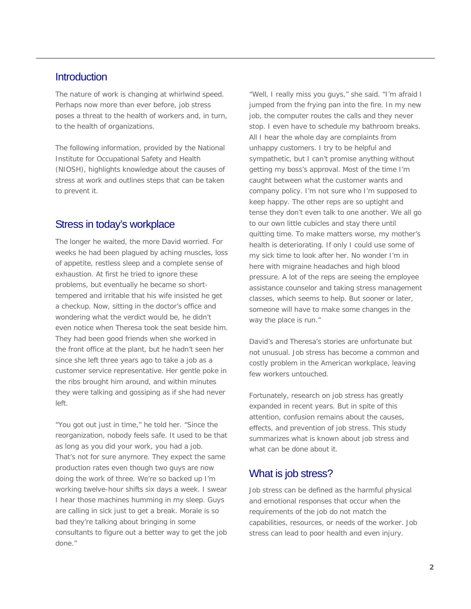### **Introduction**

The nature of work is changing at whirlwind speed. Perhaps now more than ever before, job stress poses a threat to the health of workers and, in turn, to the health of organizations.

The following information, provided by the National Institute for Occupational Safety and Health (NIOSH), highlights knowledge about the causes of stress at work and outlines steps that can be taken to prevent it.

### Stress in today's workplace

The longer he waited, the more David worried. For weeks he had been plagued by aching muscles, loss of appetite, restless sleep and a complete sense of exhaustion. At first he tried to ignore these problems, but eventually he became so shorttempered and irritable that his wife insisted he get a checkup. Now, sitting in the doctor's office and wondering what the verdict would be, he didn't even notice when Theresa took the seat beside him. They had been good friends when she worked in the front office at the plant, but he hadn't seen her since she left three years ago to take a job as a customer service representative. Her gentle poke in the ribs brought him around, and within minutes they were talking and gossiping as if she had never left.

"You got out just in time," he told her. "Since the reorganization, nobody feels safe. It used to be that as long as you did your work, you had a job. That's not for sure anymore. They expect the same production rates even though two guys are now doing the work of three. We're so backed up I'm working twelve-hour shifts six days a week. I swear I hear those machines humming in my sleep. Guys are calling in sick just to get a break. Morale is so bad they're talking about bringing in some consultants to figure out a better way to get the job done."

"Well, I really miss you guys," she said. "I'm afraid I jumped from the frying pan into the fire. In my new job, the computer routes the calls and they never stop. I even have to schedule my bathroom breaks. All I hear the whole day are complaints from unhappy customers. I try to be helpful and sympathetic, but I can't promise anything without getting my boss's approval. Most of the time I'm caught between what the customer wants and company policy. I'm not sure who I'm supposed to keep happy. The other reps are so uptight and tense they don't even talk to one another. We all go to our own little cubicles and stay there until quitting time. To make matters worse, my mother's health is deteriorating. If only I could use some of my sick time to look after her. No wonder I'm in here with migraine headaches and high blood pressure. A lot of the reps are seeing the employee assistance counselor and taking stress management classes, which seems to help. But sooner or later, someone will have to make some changes in the way the place is run."

David's and Theresa's stories are unfortunate but not unusual. Job stress has become a common and costly problem in the American workplace, leaving few workers untouched.

Fortunately, research on job stress has greatly expanded in recent years. But in spite of this attention, confusion remains about the causes, effects, and prevention of job stress. This study summarizes what is known about job stress and what can be done about it.

# What is job stress?

Job stress can be defined as the harmful physical and emotional responses that occur when the requirements of the job do not match the capabilities, resources, or needs of the worker. Job stress can lead to poor health and even injury.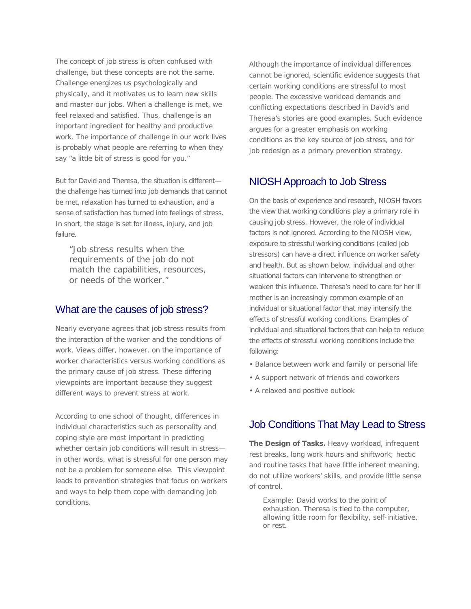The concept of job stress is often confused with challenge, but these concepts are not the same. Challenge energizes us psychologically and physically, and it motivates us to learn new skills and master our jobs. When a challenge is met, we feel relaxed and satisfied. Thus, challenge is an important ingredient for healthy and productive work. The importance of challenge in our work lives is probably what people are referring to when they say "a little bit of stress is good for you."

But for David and Theresa, the situation is different the challenge has turned into job demands that cannot be met, relaxation has turned to exhaustion, and a sense of satisfaction has turned into feelings of stress. In short, the stage is set for illness, injury, and job failure.

"Job stress results when the requirements of the job do not match the capabilities, resources, or needs of the worker."

### What are the causes of job stress?

Nearly everyone agrees that job stress results from the interaction of the worker and the conditions of work. Views differ, however, on the importance of worker characteristics versus working conditions as the primary cause of job stress. These differing viewpoints are important because they suggest different ways to prevent stress at work.

According to one school of thought, differences in individual characteristics such as personality and coping style are most important in predicting whether certain job conditions will result in stress in other words, what is stressful for one person may not be a problem for someone else. This viewpoint leads to prevention strategies that focus on workers and ways to help them cope with demanding job conditions.

Although the importance of individual differences cannot be ignored, scientific evidence suggests that certain working conditions are stressful to most people. The excessive workload demands and conflicting expectations described in David's and Theresa's stories are good examples. Such evidence argues for a greater emphasis on working conditions as the key source of job stress, and for job redesign as a primary prevention strategy.

# NIOSH Approach to Job Stress

On the basis of experience and research, NIOSH favors the view that working conditions play a primary role in causing job stress. However, the role of individual factors is not ignored. According to the NIOSH view, exposure to stressful working conditions (called job stressors) can have a direct influence on worker safety and health. But as shown below, individual and other situational factors can intervene to strengthen or weaken this influence. Theresa's need to care for her ill mother is an increasingly common example of an individual or situational factor that may intensify the effects of stressful working conditions. Examples of individual and situational factors that can help to reduce the effects of stressful working conditions include the following:

- Balance between work and family or personal life
- A support network of friends and coworkers
- A relaxed and positive outlook

# Job Conditions That May Lead to Stress

**The Design of Tasks.** Heavy workload, infrequent rest breaks, long work hours and shiftwork; hectic and routine tasks that have little inherent meaning, do not utilize workers' skills, and provide little sense of control.

*Example:* David works to the point of exhaustion. Theresa is tied to the computer, allowing little room for flexibility, self-initiative, or rest.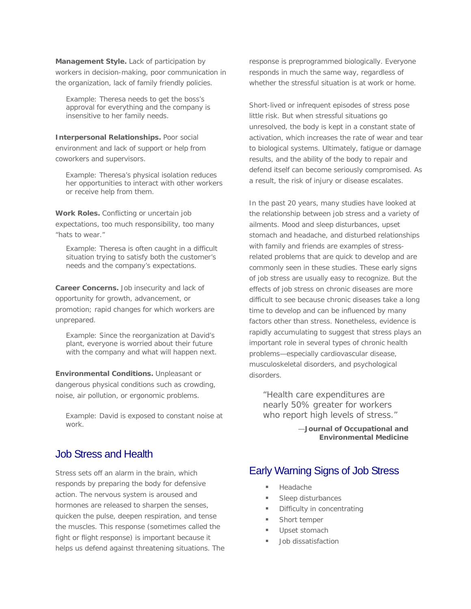**Management Style.** Lack of participation by workers in decision-making, poor communication in the organization, lack of family friendly policies.

*Example:* Theresa needs to get the boss's approval for everything and the company is insensitive to her family needs.

**Interpersonal Relationships.** Poor social environment and lack of support or help from coworkers and supervisors.

*Example:* Theresa's physical isolation reduces her opportunities to interact with other workers or receive help from them.

**Work Roles.** Conflicting or uncertain job expectations, too much responsibility, too many "hats to wear."

*Example:* Theresa is often caught in a difficult situation trying to satisfy both the customer's needs and the company's expectations.

**Career Concerns.** Job insecurity and lack of opportunity for growth, advancement, or promotion; rapid changes for which workers are unprepared.

*Example:* Since the reorganization at David's plant, everyone is worried about their future with the company and what will happen next.

**Environmental Conditions.** Unpleasant or dangerous physical conditions such as crowding, noise, air pollution, or ergonomic problems.

*Example:* David is exposed to constant noise at work.

Job Stress and Health

Stress sets off an alarm in the brain, which responds by preparing the body for defensive action. The nervous system is aroused and hormones are released to sharpen the senses, quicken the pulse, deepen respiration, and tense the muscles. This response (sometimes called the fight or flight response) is important because it helps us defend against threatening situations. The response is preprogrammed biologically. Everyone responds in much the same way, regardless of whether the stressful situation is at work or home.

Short-lived or infrequent episodes of stress pose little risk. But when stressful situations go unresolved, the body is kept in a constant state of activation, which increases the rate of wear and tear to biological systems. Ultimately, fatigue or damage results, and the ability of the body to repair and defend itself can become seriously compromised. As a result, the risk of injury or disease escalates.

In the past 20 years, many studies have looked at the relationship between job stress and a variety of ailments. Mood and sleep disturbances, upset stomach and headache, and disturbed relationships with family and friends are examples of stressrelated problems that are quick to develop and are commonly seen in these studies. These early signs of job stress are usually easy to recognize. But the effects of job stress on chronic diseases are more difficult to see because chronic diseases take a long time to develop and can be influenced by many factors other than stress. Nonetheless, evidence is rapidly accumulating to suggest that stress plays an important role in several types of chronic health problems—especially cardiovascular disease, musculoskeletal disorders, and psychological disorders.

"Health care expenditures are nearly 50% greater for workers who report high levels of stress."

> —*Journal of Occupational and Environmental Medicine*

# Early Warning Signs of Job Stress

- Headache
- Sleep disturbances
- Difficulty in concentrating
- Short temper
- Upset stomach
- Job dissatisfaction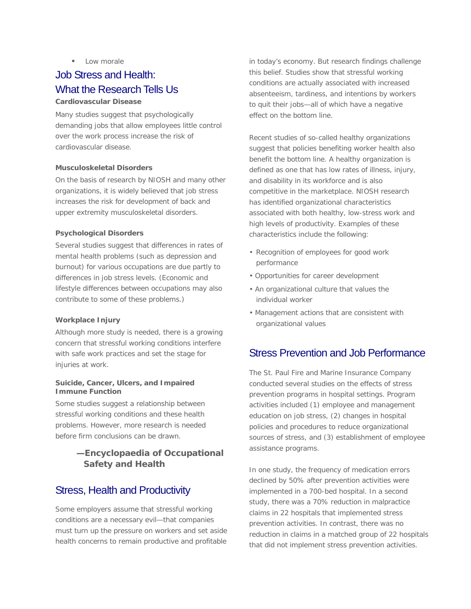$\blacksquare$  Low morale

# Job Stress and Health: What the Research Tells Us

#### **Cardiovascular Disease**

Many studies suggest that psychologically demanding jobs that allow employees little control over the work process increase the risk of cardiovascular disease.

#### **Musculoskeletal Disorders**

On the basis of research by NIOSH and many other organizations, it is widely believed that job stress increases the risk for development of back and upper extremity musculoskeletal disorders.

#### **Psychological Disorders**

Several studies suggest that differences in rates of mental health problems (such as depression and burnout) for various occupations are due partly to differences in job stress levels. (Economic and lifestyle differences between occupations may also contribute to some of these problems.)

#### **Workplace Injury**

Although more study is needed, there is a growing concern that stressful working conditions interfere with safe work practices and set the stage for injuries at work.

#### **Suicide, Cancer, Ulcers, and Impaired Immune Function**

Some studies suggest a relationship between stressful working conditions and these health problems. However, more research is needed before firm conclusions can be drawn.

### **—***Encyclopaedia of Occupational Safety and Health*

### Stress, Health and Productivity

Some employers assume that stressful working conditions are a necessary evil—that companies must turn up the pressure on workers and set aside health concerns to remain productive and profitable in today's economy. But research findings challenge this belief. Studies show that stressful working conditions are actually associated with increased absenteeism, tardiness, and intentions by workers to quit their jobs—all of which have a negative effect on the bottom line.

Recent studies of so-called healthy organizations suggest that policies benefiting worker health also benefit the bottom line. A healthy organization is defined as one that has low rates of illness, injury, and disability in its workforce and is also competitive in the marketplace. NIOSH research has identified organizational characteristics associated with both healthy, low-stress work and high levels of productivity. Examples of these characteristics include the following:

- Recognition of employees for good work performance
- Opportunities for career development
- An organizational culture that values the individual worker
- Management actions that are consistent with organizational values

### Stress Prevention and Job Performance

The St. Paul Fire and Marine Insurance Company conducted several studies on the effects of stress prevention programs in hospital settings. Program activities included (1) employee and management education on job stress, (2) changes in hospital policies and procedures to reduce organizational sources of stress, and (3) establishment of employee assistance programs.

In one study, the frequency of medication errors declined by 50% after prevention activities were implemented in a 700-bed hospital. In a second study, there was a 70% reduction in malpractice claims in 22 hospitals that implemented stress prevention activities. In contrast, there was no reduction in claims in a matched group of 22 hospitals that did not implement stress prevention activities.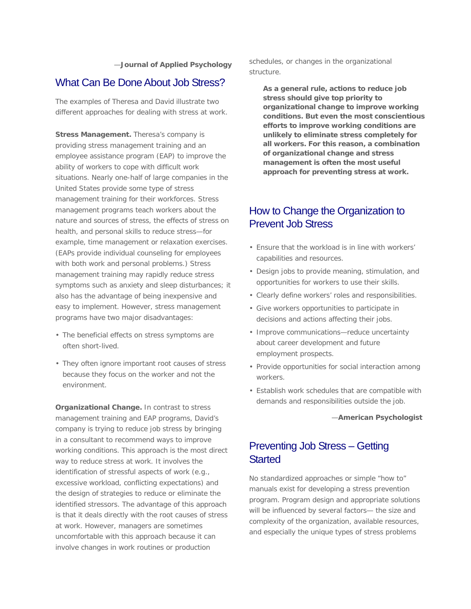#### —*Journal of Applied Psychology*

### What Can Be Done About Job Stress?

The examples of Theresa and David illustrate two different approaches for dealing with stress at work.

**Stress Management.** Theresa's company is providing stress management training and an employee assistance program (EAP) to improve the ability of workers to cope with difficult work situations. Nearly one-half of large companies in the United States provide some type of stress management training for their workforces. Stress management programs teach workers about the nature and sources of stress, the effects of stress on health, and personal skills to reduce stress—for example, time management or relaxation exercises. (EAPs provide individual counseling for employees with both work and personal problems.) Stress management training may rapidly reduce stress symptoms such as anxiety and sleep disturbances; it also has the advantage of being inexpensive and easy to implement. However, stress management programs have two major disadvantages:

- The beneficial effects on stress symptoms are often short-lived.
- They often ignore important root causes of stress because they focus on the worker and not the environment.

**Organizational Change.** In contrast to stress management training and EAP programs, David's company is trying to reduce job stress by bringing in a consultant to recommend ways to improve working conditions. This approach is the most direct way to reduce stress at work. It involves the identification of stressful aspects of work (e.g., excessive workload, conflicting expectations) and the design of strategies to reduce or eliminate the identified stressors. The advantage of this approach is that it deals directly with the root causes of stress at work. However, managers are sometimes uncomfortable with this approach because it can involve changes in work routines or production

schedules, or changes in the organizational structure.

**As a general rule, actions to reduce job stress should give top priority to organizational change to improve working conditions. But even the most conscientious efforts to improve working conditions are unlikely to eliminate stress completely for all workers. For this reason, a combination of organizational change and stress management is often the most useful approach for preventing stress at work.**

# How to Change the Organization to Prevent Job Stress

- Ensure that the workload is in line with workers' capabilities and resources.
- Design jobs to provide meaning, stimulation, and opportunities for workers to use their skills.
- Clearly define workers' roles and responsibilities.
- Give workers opportunities to participate in decisions and actions affecting their jobs.
- Improve communications—reduce uncertainty about career development and future employment prospects.
- Provide opportunities for social interaction among workers.
- Establish work schedules that are compatible with demands and responsibilities outside the job.

—*American Psychologist*

# Preventing Job Stress – Getting **Started**

No standardized approaches or simple "how to" manuals exist for developing a stress prevention program. Program design and appropriate solutions will be influenced by several factors— the size and complexity of the organization, available resources, and especially the unique types of stress problems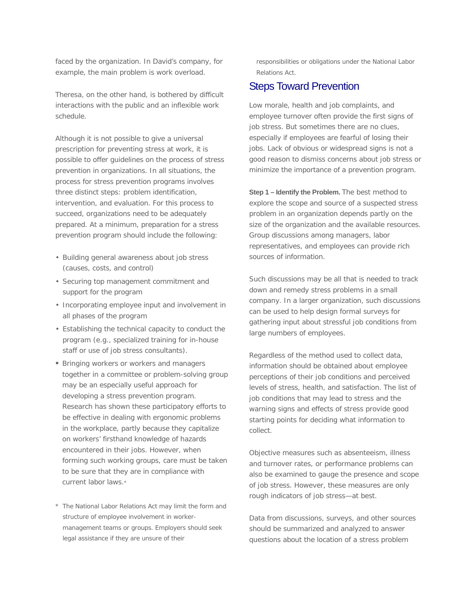faced by the organization. In David's company, for example, the main problem is work overload.

Theresa, on the other hand, is bothered by difficult interactions with the public and an inflexible work schedule.

Although it is not possible to give a universal prescription for preventing stress at work, it is possible to offer guidelines on the process of stress prevention in organizations. In all situations, the process for stress prevention programs involves three distinct steps: *problem identification, intervention,* and *evaluation.* For this process to succeed, organizations need to be adequately prepared. At a minimum, preparation for a stress prevention program should include the following:

- Building general awareness about job stress (causes, costs, and control)
- Securing top management commitment and support for the program
- Incorporating employee input and involvement in all phases of the program
- Establishing the technical capacity to conduct the program (e.g., specialized training for in-house staff or use of job stress consultants).
- **Bringing workers or workers and managers** together in a committee or problem-solving group may be an especially useful approach for developing a stress prevention program. Research has shown these participatory efforts to be effective in dealing with ergonomic problems in the workplace, partly because they capitalize on workers' firsthand knowledge of hazards encountered in their jobs. However, when forming such working groups, care must be taken to be sure that they are in compliance with current labor laws.\*
- *\* The National Labor Relations Act may limit the form and structure of employee involvement in workermanagement teams or groups. Employers should seek legal assistance if they are unsure of their*

*responsibilities or obligations under the National Labor Relations Act.*

### Steps Toward Prevention

Low morale, health and job complaints, and employee turnover often provide the first signs of job stress. But sometimes there are no clues, especially if employees are fearful of losing their jobs. Lack of obvious or widespread signs is not a good reason to dismiss concerns about job stress or minimize the importance of a prevention program.

**Step 1 – Identify the Problem.** The best method to explore the scope and source of a suspected stress problem in an organization depends partly on the size of the organization and the available resources. Group discussions among managers, labor representatives, and employees can provide rich sources of information.

Such discussions may be all that is needed to track down and remedy stress problems in a small company. In a larger organization, such discussions can be used to help design formal surveys for gathering input about stressful job conditions from large numbers of employees.

Regardless of the method used to collect data, information should be obtained about employee perceptions of their job conditions and perceived levels of stress, health, and satisfaction. The list of job conditions that may lead to stress and the warning signs and effects of stress provide good starting points for deciding what information to collect.

Objective measures such as absenteeism, illness and turnover rates, or performance problems can also be examined to gauge the presence and scope of job stress. However, these measures are only rough indicators of job stress—at best.

Data from discussions, surveys, and other sources should be summarized and analyzed to answer questions about the location of a stress problem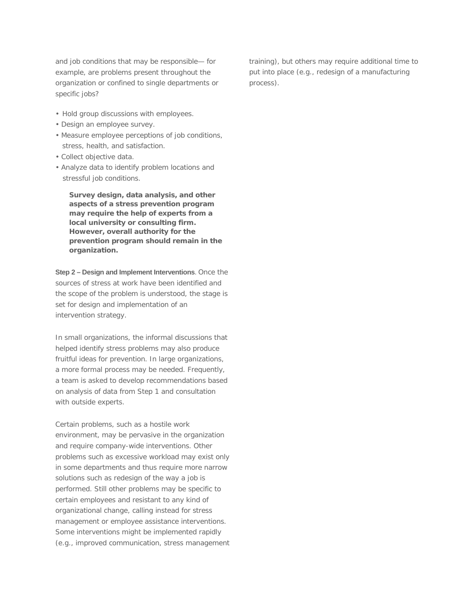and job conditions that may be responsible— for example, are problems present throughout the organization or confined to single departments or specific jobs?

- Hold group discussions with employees.
- Design an employee survey.
- Measure employee perceptions of job conditions, stress, health, and satisfaction.
- Collect objective data.
- Analyze data to identify problem locations and stressful job conditions.

**Survey design, data analysis, and other aspects of a stress prevention program may require the help of experts from a local university or consulting firm. However, overall authority for the prevention program should remain in the organization.**

**Step 2 – Design and Implement Interventions**. Once the sources of stress at work have been identified and the scope of the problem is understood, the stage is set for design and implementation of an intervention strategy.

In small organizations, the informal discussions that helped identify stress problems may also produce fruitful ideas for prevention. In large organizations, a more formal process may be needed. Frequently, a team is asked to develop recommendations based on analysis of data from Step 1 and consultation with outside experts.

Certain problems, such as a hostile work environment, may be pervasive in the organization and require company-wide interventions. Other problems such as excessive workload may exist only in some departments and thus require more narrow solutions such as redesign of the way a job is performed. Still other problems may be specific to certain employees and resistant to any kind of organizational change, calling instead for stress management or employee assistance interventions. Some interventions might be implemented rapidly (e.g., improved communication, stress management

training), but others may require additional time to put into place (e.g., redesign of a manufacturing process).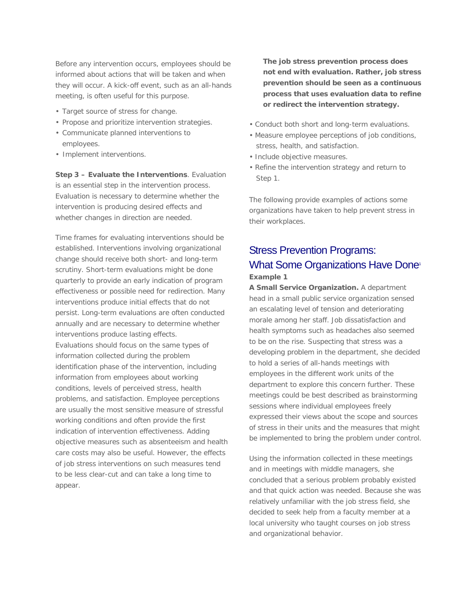Before any intervention occurs, employees should be informed about actions that will be taken and when they will occur. A kick-off event, such as an all-hands meeting, is often useful for this purpose.

- Target source of stress for change.
- Propose and prioritize intervention strategies.
- Communicate planned interventions to employees.
- Implement interventions.

**Step 3 – Evaluate the Interventions**. Evaluation is an essential step in the intervention process. Evaluation is necessary to determine whether the intervention is producing desired effects and whether changes in direction are needed.

Time frames for evaluating interventions should be established. Interventions involving organizational change should receive both short- and long-term scrutiny. Short-term evaluations might be done quarterly to provide an early indication of program effectiveness or possible need for redirection. Many interventions produce initial effects that do not persist. Long-term evaluations are often conducted annually and are necessary to determine whether interventions produce lasting effects. Evaluations should focus on the same types of information collected during the problem identification phase of the intervention, including information from employees about working conditions, levels of perceived stress, health problems, and satisfaction. Employee perceptions are usually the most sensitive measure of stressful working conditions and often provide the first indication of intervention effectiveness. Adding objective measures such as absenteeism and health care costs may also be useful. However, the effects of job stress interventions on such measures tend to be less clear-cut and can take a long time to appear.

**The job stress prevention process does not end with evaluation. Rather, job stress prevention should be seen as a continuous process that uses evaluation data to refine or redirect the intervention strategy.**

- Conduct both short and long-term evaluations.
- Measure employee perceptions of job conditions, stress, health, and satisfaction.
- Include objective measures.
- Refine the intervention strategy and return to Step 1.

The following provide examples of actions some organizations have taken to help prevent stress in their workplaces.

# Stress Prevention Programs: What Some Organizations Have Done<sup>1</sup> *Example 1*

**A Small Service Organization.** A department head in a small public service organization sensed an escalating level of tension and deteriorating morale among her staff. Job dissatisfaction and health symptoms such as headaches also seemed to be on the rise. Suspecting that stress was a developing problem in the department, she decided to hold a series of all-hands meetings with employees in the different work units of the department to explore this concern further. These meetings could be best described as brainstorming sessions where individual employees freely expressed their views about the scope and sources of stress in their units and the measures that might be implemented to bring the problem under control.

Using the information collected in these meetings and in meetings with middle managers, she concluded that a serious problem probably existed and that quick action was needed. Because she was relatively unfamiliar with the job stress field, she decided to seek help from a faculty member at a local university who taught courses on job stress and organizational behavior.